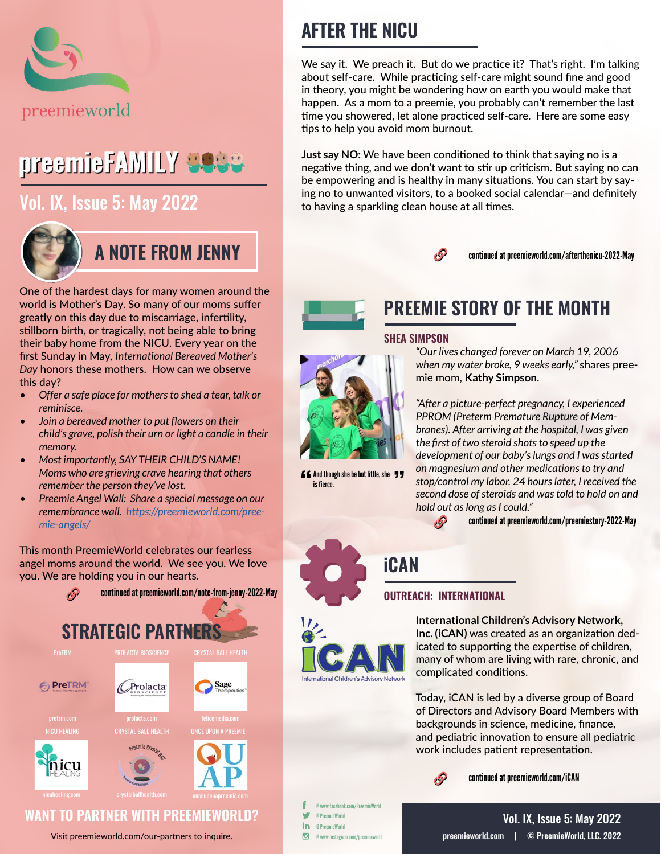

# preemieFAMILY **3988**

# [Vol. IX, Issue 5: May 2022](https://preemieworld.com/preemie-family-digital-issues/)



## **A NOTE FROM JENNY**

One of the hardest days for many women around the world is Mother's Day. So many of our moms suffer greatly on this day due to miscarriage, infertility, stillborn birth, or tragically, not being able to bring their baby home from the NICU. Every year on the first Sunday in May, *International Bereaved Mother's Day* honors these mothers. How can we observe this day?

- *• Offer a safe place for mothers to shed a tear, talk or reminisce.*
- *• Join a bereaved mother to put flowers on their child's grave, polish their urn or light a candle in their memory.*
- *• Most importantly, SAY THEIR CHILD'S NAME! Moms who are grieving crave hearing that others remember the person they've lost.*
- *• Preemie Angel Wall: Share a special message on our remembrance wall. [https://preemieworld.com/pree](https://preemieworld.com/preemie-angels/ )[mie-angels/](https://preemieworld.com/preemie-angels/ )*

This month PreemieWorld celebrates our fearless angel moms around the world. We see you. We love you. We are holding you in our hearts.



Visit [preemieworld.com/our-partners](https://preemieworld.com/our-partners) to inquire.

# **AFTER THE NICU**

We say it. We preach it. But do we practice it? That's right. I'm talking about self-care. While practicing self-care might sound fine and good in theory, you might be wondering how on earth you would make that happen. As a mom to a preemie, you probably can't remember the last time you showered, let alone practiced self-care. Here are some easy tips to help you avoid mom burnout.

**Just say NO:** We have been conditioned to think that saying no is a negative thing, and we don't want to stir up criticism. But saying no can be empowering and is healthy in many situations. You can start by saying no to unwanted visitors, to a booked soci[a](https://mendedhearts.org/about-us/about-mended-little-hearts/ )l calendar—and definitely to having a sparkling clean house at all times.



continued a[t preemieworld.com/afterthenicu-2022-M](https://preemieworld.com/afterthenicu-2022-May )ay



# **PREEMIE STORY OF THE MONTH**

### **SHEA SIMPSON**



**And though she be but little, she 77** is fierce.

*"Our lives changed forever on March 19, 2006 when my water broke, 9 weeks early,"* shares preemie mom, **Kathy Simpson**.

*"After a picture-perfect pregnancy, I experienced PPROM (Preterm Premature Rupture of Membranes). After arriving at the hospital, I was given the first of two steroid shots to speed up the development of our baby's lungs and I was started on magnesium and other medications to try and stop/control my labor. 24 hours later, I received the second dose of steroids and was told to hold on and hold out as long as I could."*

continued at [preemieworld.com/preemiestory-2022-M](https://preemieworld.com/preemiestory-2022-May)ay  $\mathcal{S}$ 

**iCAN** 

## **OUTREACH: INTERNATIONAL**



**International Children's Advisory Network, Inc. (iCAN)** was created as an organization dedicated to supporting the expertise of children, many of whom are living with rare, chronic, and complicated conditions.

Today, iCAN is led by a diverse group of Board of Directors and Advisory Board Members with backgrounds in science, medicine, finance, and pediatric innovation to ensure all pediatric work includes patient representation.



continued at [preemieworld.com/i](https://preemieworld.com/iCAN)CAN

@ www.facebook.com/PreemieWorld w @ PreemieWorld in @ PreemieWorld @ www.instagram.com/preemieworld